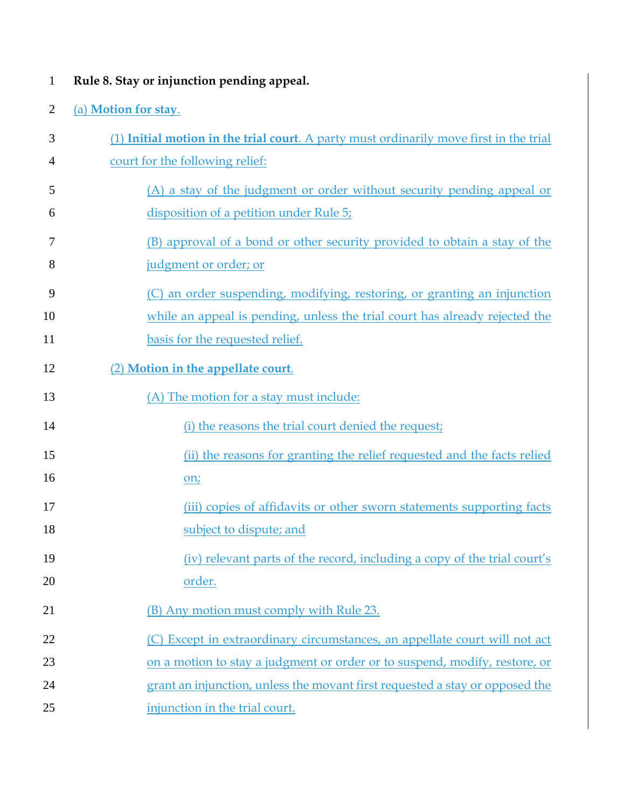1 **Rule 8. Stay or injunction pending appeal.**

## 2 (a) **Motion for stay**.

| 3  | (1) Initial motion in the trial court. A party must ordinarily move first in the trial |
|----|----------------------------------------------------------------------------------------|
| 4  | court for the following relief:                                                        |
| 5  | (A) a stay of the judgment or order without security pending appeal or                 |
| 6  | disposition of a petition under Rule $5i$                                              |
| 7  | (B) approval of a bond or other security provided to obtain a stay of the              |
| 8  | judgment or order; or                                                                  |
| 9  | (C) an order suspending, modifying, restoring, or granting an injunction               |
| 10 | while an appeal is pending, unless the trial court has already rejected the            |
| 11 | basis for the requested relief.                                                        |
| 12 | (2) Motion in the appellate court.                                                     |
| 13 | (A) The motion for a stay must include:                                                |
| 14 | (i) the reasons the trial court denied the request;                                    |
| 15 | (ii) the reasons for granting the relief requested and the facts relied                |
| 16 | on;                                                                                    |
| 17 | (iii) copies of affidavits or other sworn statements supporting facts                  |
| 18 | subject to dispute; and                                                                |
| 19 | (iv) relevant parts of the record, including a copy of the trial court's               |
| 20 | order.                                                                                 |
| 21 | (B) Any motion must comply with Rule 23.                                               |
| 22 | (C) Except in extraordinary circumstances, an appellate court will not act             |
| 23 | on a motion to stay a judgment or order or to suspend, modify, restore, or             |
| 24 | grant an injunction, unless the movant first requested a stay or opposed the           |
| 25 | injunction in the trial court.                                                         |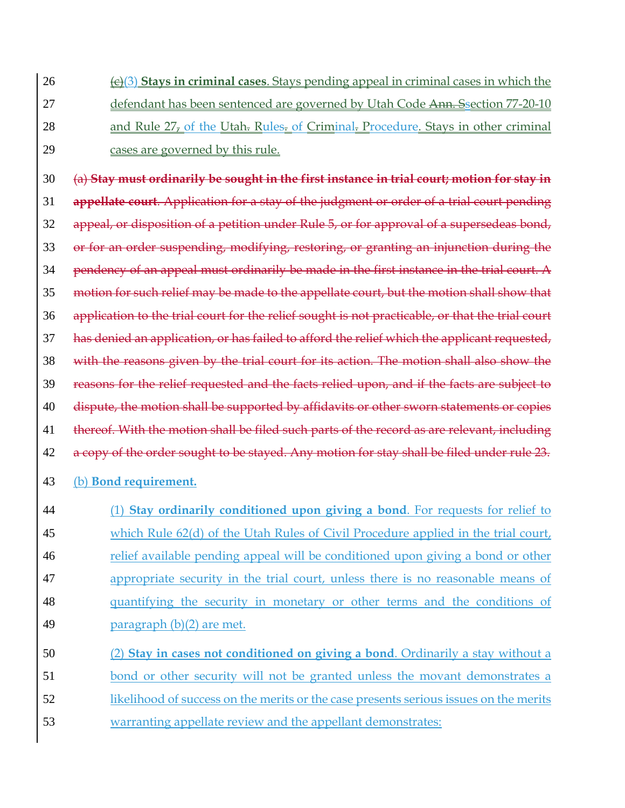(c)(3) **Stays in criminal cases**. Stays pending appeal in criminal cases in which the 27 defendant has been sentenced are governed by Utah Code Ann. Ssection 77-20-10 28 and Rule 27, of the Utah. Rules. of Criminal. Procedure. Stays in other criminal cases are governed by this rule.

 (a) **Stay must ordinarily be sought in the first instance in trial court; motion for stay in appellate court**. Application for a stay of the judgment or order of a trial court pending appeal, or disposition of a petition under Rule 5, or for approval of a supersedeas bond, 33 or for an order suspending, modifying, restoring, or granting an injunction during the pendency of an appeal must ordinarily be made in the first instance in the trial court. A motion for such relief may be made to the appellate court, but the motion shall show that application to the trial court for the relief sought is not practicable, or that the trial court has denied an application, or has failed to afford the relief which the applicant requested, with the reasons given by the trial court for its action. The motion shall also show the reasons for the relief requested and the facts relied upon, and if the facts are subject to 40 dispute, the motion shall be supported by affidavits or other sworn statements or copies 41 thereof. With the motion shall be filed such parts of the record as are relevant, including 42 a copy of the order sought to be stayed. Any motion for stay shall be filed under rule 23. (b) **Bond requirement.**

 (1) **Stay ordinarily conditioned upon giving a bond**. For requests for relief to which Rule 62(d) of the Utah Rules of Civil Procedure applied in the trial court, relief available pending appeal will be conditioned upon giving a bond or other appropriate security in the trial court, unless there is no reasonable means of quantifying the security in monetary or other terms and the conditions of paragraph (b)(2) are met.

 (2) **Stay in cases not conditioned on giving a bond**. Ordinarily a stay without a bond or other security will not be granted unless the movant demonstrates a likelihood of success on the merits or the case presents serious issues on the merits warranting appellate review and the appellant demonstrates: